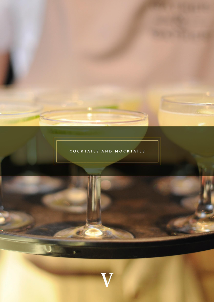

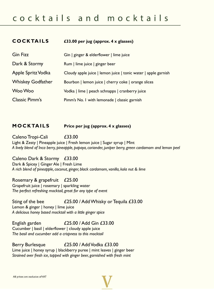| <b>COCKTAILS</b>         | £33.00 per jug (approx. 4 x glasses)                           |  |
|--------------------------|----------------------------------------------------------------|--|
| <b>Gin Fizz</b>          | Gin   ginger & elderflower   lime juice                        |  |
| Dark & Stormy            | Rum   lime juice   ginger beer                                 |  |
| Apple Spritz Vodka       | Cloudy apple juice   lemon juice   tonic water   apple garnish |  |
| <b>Whiskey Godfather</b> | Bourbon   lemon juice   cherry coke   orange slices            |  |
| Woo Woo                  | Vodka   lime   peach schnapps   cranberry juice                |  |
| <b>Classic Pimm's</b>    | Pimm's No. I with lemonade   classic garnish                   |  |

# **M O C K TA IL S Price per jug (approx. 4 x glasses)**

Caleno Tropi-Cali £33.00 Light & Zesty | Pineapple juice | Fresh lemon juice | Sugar syrup | Mint *A lively blend of Inca berry, pineapple, papaya, coriander, juniper berry, green cardamom and lemon peel*

Caleno Dark & Stormy £33.00 Dark & Spicey | Ginger Ale | Fresh Lime *A rich blend of pineapple, coconut, ginger, black cardamom, vanilla, kola nut & lime*

Rosemary & grapefruit £25.00 Grapefruit juice | rosemary | sparkling water *The perfect refreshing mocktail, great for any type of event* 

Sting of the bee  $\frac{25.00}{\text{Add Whisky}}$  or Tequila £33.00 Lemon & ginger | honey | lime juice *A delicious honey based mocktail with a little ginger spice*

English garden £25.00 / Add Gin £33.00 Cucumber | basil | elderflower | cloudy apple juice *The basil and cucumber add a crispness to this mocktail*

Berry Burlesque **£25.00** / Add Vodka £33.00 Lime juice | honey syrup | blackberry puree | mint leaves | ginger beer *Strained over fresh ice, topped with ginger beer, garnished with fresh mint*

All prices are exclusive of VAT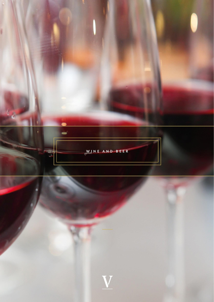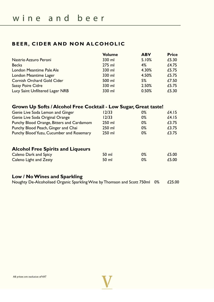# **BEER, CIDER AND NON ALCOHOLIC**

|                                   | <b>Volume</b> | <b>ABV</b> | <b>Price</b> |
|-----------------------------------|---------------|------------|--------------|
| Nastrio Azzuro Peroni             | 330 ml        | 5.10%      | £5.30        |
| <b>Becks</b>                      | $275$ ml      | 4%         | £4.75        |
| London Meantime Pale Ale          | 330 ml        | 4.30%      | £5.75        |
| London Meantime Lager             | 330 ml        | 4.50%      | £5.75        |
| <b>Cornish Orchard Gold Cider</b> | 500 ml        | 5%         | £7.50        |
| <b>Sassy Poire Cidre</b>          | 330 ml        | 2.50%      | £5.75        |
| Lucy Saint Unfiltered Lager NRB   | 330 ml        | 0.50%      | £5.30        |

# **Grown Up Softs / Alcohol Free Cocktail - Low Sugar, Great taste!**

| Genie Live Soda Lemon and Ginger          | 12/33  | $0\%$ | £4.15 |
|-------------------------------------------|--------|-------|-------|
| Genie Live Soda Original Orange           | 12/33  | $0\%$ | £4.15 |
| Punchy Blood Orange, Bitters and Cardamom | 250 ml | $0\%$ | £3.75 |
| Punchy Blood Peach, Ginger and Chai       | 250 ml | $0\%$ | £3.75 |
| Punchy Blood Yuzu, Cucumber and Rosemary  | 250 ml | $0\%$ | £3.75 |
| <b>Alcohol Free Spirits and Liqueurs</b>  |        |       |       |
| Caleno Dark and Spicy                     | 50 ml  | $0\%$ | £5.00 |
| Caleno Light and Zesty                    | 50 ml  | $0\%$ | £5.00 |
|                                           |        |       |       |

# **Low / No Wines and Sparkling**

Noughty De-Alcoholised Organic Sparkling Wine by Thomson and Scott 750ml 0% £25.00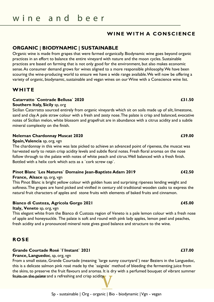# **WINE WITH A CONSCIENCE**

## **ORGANIC | BIODYNAMIC | SUSTAINABLE**

Organic wine is made from grapes that were farmed organically. Biodynamic wine goes beyond organic practices in an effort to balance the entire vineyard with nature and the moon cycles. Sustainable practices are based on farming that is not only good for the environment, but also makes economic sense. As consumer demand grows for wines aligned to a more responsible philosophy. We have been scouring the wine-producing world to ensure we have a wide range available. We will now be offering a variety of organic, biodynamic, sustainable and vegan wines on our Wine with a Conscience wine list.

# **WHITE**

### **Catarratto `Contrade Bellusa` 2020 £31.50**

#### **Southern Italy, Sicily** sp, org

Sicilian Catarratto sourced entirely from organic vineyards which sit on soils made up of silt, limestone, sand and clay. A pale straw colour with a fresh and zesty nose. The palate is crisp and balanced, evocative notes of Sicilian melon, white blossom and grapefruit are in abundance with a citrus acidity and a subtle mineral complexity on the finish.

### **Neleman Chardonnay Muscat 2020 £39.00**

#### **Spain, Valencia** sp, org, vgn

The chardonnay in this wine was late picked to achieve an advanced point of ripeness, the muscat was harvested early to retain crisp acidity levels and subtle floral notes. Fresh floral aromas on the nose follow through to the palate with notes of white peach and citrus. Well balanced with a fresh finish. Bottled with a helix cork which acts as a `cork screw cap`.

### **Pinot Blanc `Les Natures` Domaine Jean-Baptiste Adam 2019 £42.50**

### **France, Alsace** sp, org, vgn

This Pinot Blanc is bright yellow colour with golden hues and surprising ripeness lending weight and softness. The grapes are hand picked and vinified in century old traditional wooden casks to express the natural fruit characters of apples and stone fruits with elements of baked fruits and cinnamon.

### **Bianco di Custoza, Agricola Gorgo 2021 £45.00**

#### **Italy, Veneto** sp, org, vgn

This elegant white from the Bianco di Custoza region of Veneto is a pale lemon colour with a fresh nose of apple and honeysuckle. The palate is soft and round with pink lady apples, lemon peel and peaches, fresh acidity and a pronounced mineral note gives good balance and structure to the wine.

# **RO S E**

### **Grande Courtade Rosé `l`Instant` 2021 £37.00**

### **France, Languedoc**, sp, org, vgn

From a small estate, Grande Courtade (meaning `large sunny courtyard`) near Beziers in the Languedoc, this is a delicate salmon pink rosé made by the `saignée` method of bleeding the fermenting juice from the skins, to preserve the fruit flavours and aromas. It is dry with a perfumed bouquet of vibrant summer fruits on the palate and a refreshing and crisp acidity.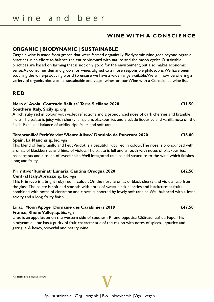## **WINE WITH A CONSCIENCE**

### **ORGANIC | BIODYNAMIC | SUSTAINABLE**

Organic wine is made from grapes that were farmed organically. Biodynamic wine goes beyond organic practices in an effort to balance the entire vineyard with nature and the moon cycles. Sustainable practices are based on farming that is not only good for the environment, but also makes economic sense. As consumer demand grows for wines aligned to a more responsible philosophy. We have been scouring the wine-producing world to ensure we have a wide range available. We will now be offering a variety of organic, biodynamic, sustainable and vegan wines on our Wine with a Conscience wine list.

### **R E D**

### **Nero d` Avola `Contrade Bellusa` Terre Siciliane 2020 £31.50**

### **Southern Italy, Sicily** sp, org

A rich, ruby red in colour with violet reflections and a pronounced nose of dark cherries and bramble fruits. The palate is juicy with cherry jam, plum, blackberries and a subtle liqourice and vanilla note on the finish. Excellent balance of acidity, ripe fruits and soft tannins.

### **Tempranillo/ Petit Verdot 'Viento Aliseo' Dominio de Punctum 2020 £36.00**

#### **Spain, La Mancha** sp, bio, vgn

This blend of Tempranillo and Petit Verdot is a beautiful ruby red in colour. The nose is pronounced with aromas of blackberries and hints of violets. The palate is full and smooth with notes of blackberries, redcurrants and a touch of sweet spice. Well integrated tannins add structure to the wine which finishes long and fruity.

### **Primitivo 'Ruminat' Lunaria, Cantina Orsogna 2020 £42.5**0

#### **Central Italy, Abruzzo** sp, bio, vgn

This Primitivo is a bright ruby red in colour. On the nose, aromas of black cherry and violets leap from the glass. The palate is soft and smooth with notes of sweet black cherries and blackcurrant fruits combined with notes of cinnamon and cloves supported by lovely soft tannins. Well balanced with a fresh acidity and a long, fruity finish.

### **Lirac `Moon Apoge` Domaine des Carabiniers 2019 £47.50**

#### **France, Rhone Valley,** sp, bio, vgn

Lirac is an appellation on the western side of southern Rhone opposite Châteauneuf-du-Pape. This biodynamic Lirac has a purity of fruit characteristic of the region with notes of spices, liqourice and garrigue. A heady, powerful and hearty wine.

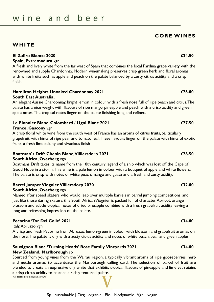### **South East Australia,**

An elegant Aussie Chardonnay, bright lemon in colour with a fresh nose full of ripe peach and citrus. The palate has a nice weight with flavours of ripe mango, pineapple and peach with a crisp acidity and green apple notes. The tropical notes linger on the palate finishing long and refined.

A crisp floral white wine from the south west of France has an aroma of citrus fruits, particularly grapefruit, with hints of ripe pear and tomato leaf. These flavours linger on the palate with hints of exotic

# **Boatman`s Drift Chenin Blanc, Villiersdorp 2021 £28.50**

### **South Africa, Overberg** vgn

Boatmans Drift takes its name from the 18th century legend of a ship which was lost off the Cape of Good Hope in a storm. This wine is a pale lemon in colour with a bouquet of apple and white flowers. The palate is crisp with notes of white peach, mango and guava and a fresh and zesty acidity.

# **Barrel Jumper Viognier, Villiersdorp 2020 £32.00**

### **South Africa, Overberg** vgn

Named after speed skaters who would leap over multiple barrels in barrel jumping competitions, and just like those daring skaters, this South African Viognier is packed full of character. Apricot, orange blossom and subtle tropical notes of dried pineapple combine with a fresh grapefruit acidity leaving a long and refreshing impression on the palate.

# **Pecorino 'Tor Del Colle' 2021 £34.0**0

### Italy, Abruzzo vgn

A crisp and fresh Pecorino from Abruzzo; lemon-green in colour with blossom and grapefruit aromas on the nose. The palate is dry with a zesty citrus acidity and notes of white peach, pear and green apples.

### **Sauvignon Blanc 'Turning Heads' Rose Family Vineyards 2021 £34.00 New Zealand, Marlborough** sp

Sourced from young vines from the Wairau region, a typically vibrant aroma of ripe gooseberries, herb and nettle aromas to accentuate the Marlborough calling card. The selection of parcel of fruit are blended to create an expressive dry white that exhibits tropical flavours of pineapple and lime yet retains a crisp citrus acidity to balance a richly textured palate.<br>All prices are exclusive of VAT

# wine and beer

# **WHITE**

# **Spain, Extremadura** vgn

A fresh and lively white from the far west of Spain that combines the local Pardina grape variety with the renowned and supple Chardonnay. Modern winemaking preserves crisp green herb and floral aromas with white fruits such as apple and peach on the palate balanced by a zesty, citrus acidity and a crisp finish.

# **Hamilton Heights Unoaked Chardonnay 2021 £26.00**

# **France, Gascony** vgn

# fruits, a fresh lime acidity and vivacious finish

# **El Zafiro Blanco 2020 £24.50**

**C O R E W I N E S**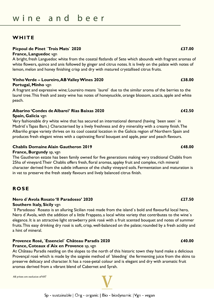### **WHITE**

#### **Picpoul de Pinet `Trois Mats` 2020 £37.00**

#### **France, Languedoc** vgn

A bright, fresh Languedoc white from the coastal flatlands of Sete which abounds with fragrant aromas of white flowers, quince and anis followed by ginger and citrus notes. It is lively on the palate with notes of lemon, melon and honey finishing crisp and dry with matured crystallised citrus fruits.

#### **Vinho Verde – Loureiro, AB Valley Wines 2020 £38.00**

#### **Portugal, Minho** vgn

A fragrant and expressive wine; Loureiro means `laurel` due to the similar aroma of the berries to the laurel tree. This fresh and zesty wine has notes of honeysuckle, orange blossom, acacia, apple and white peach.

#### **Albarino 'Condes de Albarei' Rias Baixas 2020 £42.50**

#### **Spain, Galicia** vgn

Very fashionable dry white wine that has secured an international demand (having `been seen` in Madrid`s Tapas Bars.) Characterised by a lively freshness and dry minerality with a creamy finish. The Albariño grape variety thrives on its cool coastal location in the Galicia region of Northern Spain and produces fresh elegant wines with a captivating floral bouquet and apple, pear and peach flavours.

#### **Chablis Domaine Alain Gautheron 2019 £48.00**

#### **France, Burgundy** sp, vgn

The Gautheron estate has been family owned for five generations making very traditional Chablis from 25ha of vineyard. Their Chablis offers fresh, floral aromas, appley fruit and complex, rich mineral character derived from the subtle influence of the chalky vineyard soils. Fermentation and maturation is in vat to preserve the fresh steely flavours and lively balanced citrus finish.

### **R O S E**

#### **Nero d`Avola Rosato 'Il Paradosso' 2020 £27.50 Southern Italy, Sicily** vgn

`Il Paradosso` Rosato is an alluring Sicilian rosé made from the island`s bold and flavourful local hero, Nero d`Avola, with the addition of a little Frappato, a local white variety that contributes to the wine`s elegance. It is an attractive light strawberry pink rosé with a fruit scented bouquet and notes of summer fruits. This easy drinking dry rosé is soft, crisp, well-balanced on the palate; rounded by a fresh acidity and a hint of mineral.

### **Provence Rosé, `Essenciel` Château Paradis 2020 £40.00**

#### **France, Coteaux d`Aix en Provence** sp, vgn

At Château Paradis nestling on the slopes to the north of this historic town they hand make a delicious Provençal rosé which is made by the saignée method of `bleeding` the fermenting juice from the skins to preserve delicacy and character. It has a rose-petal colour and is elegant and dry with aromatic fruit aromas derived from a vibrant blend of Cabernet and Syrah.

All prices are exclusive of VAT

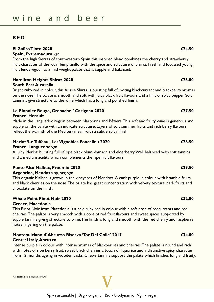### **R E D**

#### **El Zafiro Tinto 2020 £24.50**

### **Spain, Extremadura** vgn

From the high Sierras of southwestern Spain this inspired blend combines the cherry and strawberry fruit character of the local Tempranillo with the spice and structure of Shiraz. Fresh and focussed young fruit lends vigour to a mid weight palate that is supple and balanced.

#### **Hamilton Heights Shiraz 2020 £26.00 South East Australia,**

Bright ruby red in colour, this Aussie Shiraz is bursting full of inviting blackcurrant and blackberry aromas on the nose. The palate is smooth and soft with juicy black fruit flavours and a hint of spicy pepper. Soft tannnins give structure to the wine which has a long and polished finish.

#### **Le Pionnier Rouge, Grenache / Carignan 2020 £27.50 France, Herault**

Made in the Languedoc region between Narbonna and Béziers. This soft and fruity wine is generous and supple on the palate with an intricate structure. Layers of soft summer fruits and rich berry flavours reflect the warmth of the Mediterranean, with a subtle spicy finish.

### **Merlot 'Le Tuffeau', Les Vignobles Foncalieu 2020 £28.50**

#### **France, Languedoc** vgn

A juicy Merlot, bursting full of ripe black plum, damson and elderberry. Well balanced with soft tannins and a medium acidity which complements the ripe fruit flavours.

#### **Punto Alto Malbec, Proemio 2020 £29.50**

#### **Argentina, Mendoza** sp, org, vgn

This organic Malbec is grown in the vineyards of Mendoza. A dark purple in colour with bramble fruits and black cherries on the nose. The palate has great concentration with velvety texture, dark fruits and chocolate on the finish.

#### **Whale Point Pinot Noir 2020 £32.00 Greece, Macedonia**

This Pinot Noir from Macedonia is a pale ruby red in colour with a soft nose of redcurrants and red cherries. The palate is very smooth with a core of red fruit flavours and sweet spices supported by supple tannins giving structure to wine. The finish is long and smooth with the red cherry and raspberry notes lingering on the palate.

### **Montepulciano d`Abruzzo Riserva 'Tor Del Colle' 2017 £34.00 Central Italy, Abruzzo**

Intense purple in colour with intense aromas of blackberries and cherries. The palate is round and rich with notes of ripe berry fruit, sweet black cherries a touch of liquorice and a distinctive spicy character from 12 months ageing in wooden casks. Chewy tannins support the palate which finishes long and fruity.

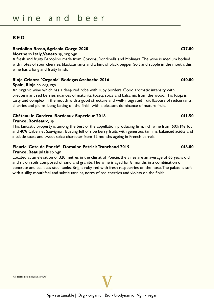### **R E D**

#### **Bardolino Rosso, Agricola Gorgo 2020 £37.00**

#### **Northern Italy, Veneto** sp, org, vgn

A fresh and fruity Bardolino made from Corvina, Rondinella and Molinara. The wine is medium bodied with notes of sour cherries, blackcurrants and a hint of black pepper. Soft and supple in the mouth, this wine has a long and fruity finish.

#### **Rioja Crianza `Organic` Bodegas Azabache 2016 £40.00**

#### **Spain, Rioja** sp, org, vgn

An organic wine which has a deep red robe with ruby borders. Good aromatic intensity with predominant red berries, nuances of maturity, toasty, spicy and balsamic from the wood. This Rioja is tasty and complex in the mouth with a good structure and well-integrated fruit flavours of redcurrants, cherries and plums. Long lasting on the finish with a pleasant dominance of mature fruit.

#### **Château le Gardera, Bordeaux Superieur 2018 £41.50**

#### **France, Bordeaux,** sp

This fantastic property is among the best of the appellation, producing firm, rich wine from 60% Merlot and 40% Cabernet Sauvignon. Busting full of ripe berry fruits with generous tannins, balanced acidty and a subtle toast and sweet spice character from 12 months ageing in French barrels.

#### **Fleurie 'Cote de Poncié' Domaine Patrick Tranchand 2019 £48.00**

#### **France, Beaujolais** sp, vgn

Located at an elevation of 320 metres in the climat of Poncie, the vines are an average of 65 years old and sit on soils composed of sand and granite. The wine is aged for 8 months in a combination of concrete and stainless steel tanks. Bright ruby red with fresh raspberries on the nose. The palate is soft with a silky mouthfeel and subtle tannins, notes of red cherries and violets on the finish.

All prices are exclusive of VAT